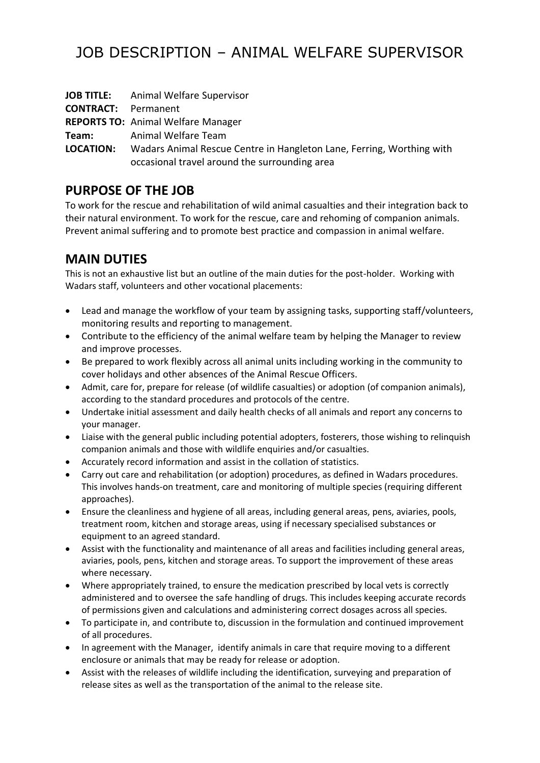# JOB DESCRIPTION – ANIMAL WELFARE SUPERVISOR

|                            | <b>JOB TITLE:</b> Animal Welfare Supervisor                                                                            |
|----------------------------|------------------------------------------------------------------------------------------------------------------------|
| <b>CONTRACT:</b> Permanent |                                                                                                                        |
|                            | <b>REPORTS TO: Animal Welfare Manager</b>                                                                              |
| Team:                      | Animal Welfare Team                                                                                                    |
| <b>LOCATION:</b>           | Wadars Animal Rescue Centre in Hangleton Lane, Ferring, Worthing with<br>occasional travel around the surrounding area |

# **PURPOSE OF THE JOB**

To work for the rescue and rehabilitation of wild animal casualties and their integration back to their natural environment. To work for the rescue, care and rehoming of companion animals. Prevent animal suffering and to promote best practice and compassion in animal welfare.

# **MAIN DUTIES**

This is not an exhaustive list but an outline of the main duties for the post-holder. Working with Wadars staff, volunteers and other vocational placements:

- Lead and manage the workflow of your team by assigning tasks, supporting staff/volunteers, monitoring results and reporting to management.
- Contribute to the efficiency of the animal welfare team by helping the Manager to review and improve processes.
- Be prepared to work flexibly across all animal units including working in the community to cover holidays and other absences of the Animal Rescue Officers.
- Admit, care for, prepare for release (of wildlife casualties) or adoption (of companion animals), according to the standard procedures and protocols of the centre.
- Undertake initial assessment and daily health checks of all animals and report any concerns to your manager.
- Liaise with the general public including potential adopters, fosterers, those wishing to relinquish companion animals and those with wildlife enquiries and/or casualties.
- Accurately record information and assist in the collation of statistics.
- Carry out care and rehabilitation (or adoption) procedures, as defined in Wadars procedures. This involves hands-on treatment, care and monitoring of multiple species (requiring different approaches).
- Ensure the cleanliness and hygiene of all areas, including general areas, pens, aviaries, pools, treatment room, kitchen and storage areas, using if necessary specialised substances or equipment to an agreed standard.
- Assist with the functionality and maintenance of all areas and facilities including general areas, aviaries, pools, pens, kitchen and storage areas. To support the improvement of these areas where necessary.
- Where appropriately trained, to ensure the medication prescribed by local vets is correctly administered and to oversee the safe handling of drugs. This includes keeping accurate records of permissions given and calculations and administering correct dosages across all species.
- To participate in, and contribute to, discussion in the formulation and continued improvement of all procedures.
- In agreement with the Manager, identify animals in care that require moving to a different enclosure or animals that may be ready for release or adoption.
- Assist with the releases of wildlife including the identification, surveying and preparation of release sites as well as the transportation of the animal to the release site.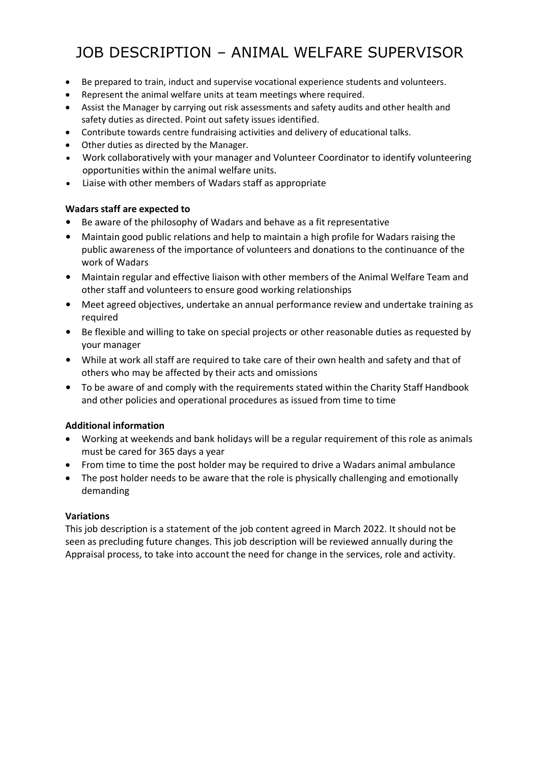# JOB DESCRIPTION – ANIMAL WELFARE SUPERVISOR

- Be prepared to train, induct and supervise vocational experience students and volunteers.
- Represent the animal welfare units at team meetings where required.
- Assist the Manager by carrying out risk assessments and safety audits and other health and safety duties as directed. Point out safety issues identified.
- Contribute towards centre fundraising activities and delivery of educational talks.
- Other duties as directed by the Manager.
- Work collaboratively with your manager and Volunteer Coordinator to identify volunteering opportunities within the animal welfare units.
- Liaise with other members of Wadars staff as appropriate

### **Wadars staff are expected to**

- Be aware of the philosophy of Wadars and behave as a fit representative
- Maintain good public relations and help to maintain a high profile for Wadars raising the public awareness of the importance of volunteers and donations to the continuance of the work of Wadars
- Maintain regular and effective liaison with other members of the Animal Welfare Team and other staff and volunteers to ensure good working relationships
- Meet agreed objectives, undertake an annual performance review and undertake training as required
- Be flexible and willing to take on special projects or other reasonable duties as requested by your manager
- While at work all staff are required to take care of their own health and safety and that of others who may be affected by their acts and omissions
- To be aware of and comply with the requirements stated within the Charity Staff Handbook and other policies and operational procedures as issued from time to time

## **Additional information**

- Working at weekends and bank holidays will be a regular requirement of this role as animals must be cared for 365 days a year
- From time to time the post holder may be required to drive a Wadars animal ambulance
- The post holder needs to be aware that the role is physically challenging and emotionally demanding

#### **Variations**

This job description is a statement of the job content agreed in March 2022. It should not be seen as precluding future changes. This job description will be reviewed annually during the Appraisal process, to take into account the need for change in the services, role and activity.